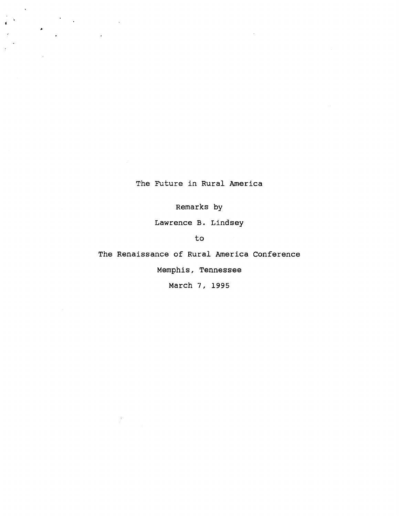**The Future in Rural America**

 $\mathbf{r}$ 

 $\label{eq:2.1} \frac{1}{2} \sum_{i=1}^n \frac{1}{2} \sum_{j=1}^n \frac{1}{2} \sum_{j=1}^n \frac{1}{2} \sum_{j=1}^n \frac{1}{2} \sum_{j=1}^n \frac{1}{2} \sum_{j=1}^n \frac{1}{2} \sum_{j=1}^n \frac{1}{2} \sum_{j=1}^n \frac{1}{2} \sum_{j=1}^n \frac{1}{2} \sum_{j=1}^n \frac{1}{2} \sum_{j=1}^n \frac{1}{2} \sum_{j=1}^n \frac{1}{2} \sum_{j=1}^n \frac{$ 

 $\ddot{\phantom{a}}$ 

 $\ddot{\star}$ 

**Remarks by**

**Lawrence B. Lindsey**

**to**

**The Renaissance of Rural America Conference**

**Memphis, Tennessee**

**March 7, 1995**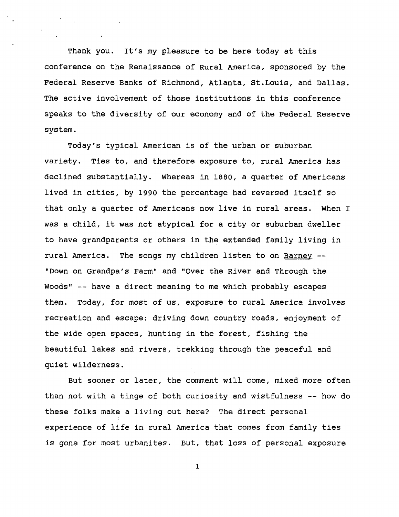**Thank you. It's my pleasure to be here today at this conference on the Renaissance of Rural America, sponsored by the Federal Reserve Banks of Richmond, Atlanta, St.Louis, and Dallas. The active involvement of those institutions in this conference speaks to the diversity of our economy and of the Federal Reserve system.**

**Today's typical American is of the urban or suburban variety. Ties to, and therefore exposure to, rural America has declined substantially. Whereas in 1880, a quarter of Americans lived in cities, by 1990 the percentage had reversed itself so that only a quarter of Americans now live in rural areas. When I was a child, it was not atypical for a city or suburban dweller to have grandparents or others in the extended family living in rural America. The songs my children listen to on Barney — "Down on Grandpa's Farm" and "Over the River and Through the Woods" — have a direct meaning to me which probably escapes them. Today, for most of us, exposure to rural America involves recreation and escape: driving down country roads, enjoyment of the wide open spaces, hunting in the forest, fishing the beautiful lakes and rivers, trekking through the peaceful and quiet wilderness.**

**But sooner or later, the comment will come, mixed more often than not with a tinge of both curiosity and wistfulness — how do these folks make a living out here? The direct personal experience of life in rural America that comes from family ties is gone for most urbanites. But, that loss of personal exposure**

**l**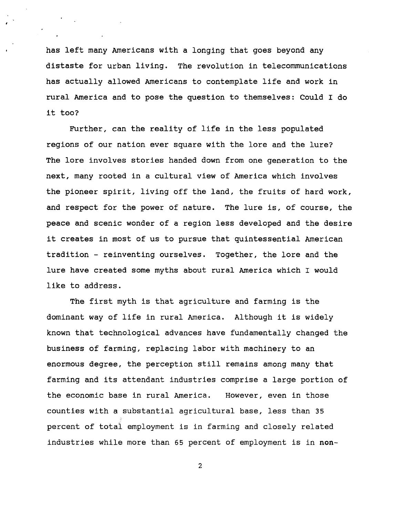**has left many Americans with a longing that goes beyond any distaste for urban living. The revolution in telecommunications has actually allowed Americans to contemplate life and work in rural America and to pose the question to themselves: Could I do it too?**

**Further, can the reality of life in the less populated regions of our nation ever square with the lore and the lure? The lore involves stories handed down from one generation to the next, many rooted in a cultural view of America which involves the pioneer spirit, living off the land, the fruits of hard work, and respect for the power of nature. The lure is, of course, the peace and scenic wonder of a region less developed and the desire it creates in most of us to pursue that quintessential American tradition - reinventing ourselves. Together, the lore and the lure have created some myths about rural America which I would like to address.**

**The first myth is that agriculture and farming is the dominant way of life in rural America. Although it is widely known that technological advances have fundamentally changed the business of farming, replacing labor with machinery to an enormous degree, the perception still remains among many that farming and its attendant industries comprise a large portion of the economic base in rural America. However, even in those counties with a substantial agricultural base, less than 35 percent of total employment is in farming and closely related industries while more than 65 percent of employment is in non-**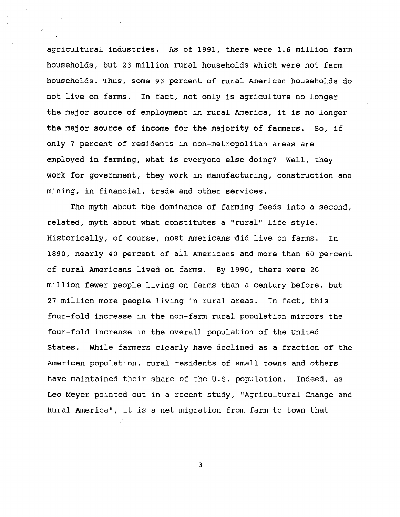**agricultural industries. As of 1991, there were 1.6 million farm households, but 23 million rural households which were not farm households. Thus, some 9 3 percent of rural American households do not live on farms. In fact, not only is agriculture no longer the major source of employment in rural America, it is no longer the major source of income for the majority of farmers. So, if only 7 percent of residents in non-metropolitan areas are employed in farming, what is everyone else doing? Well, they work for government, they work in manufacturing, construction and mining, in financial, trade and other services.**

**The myth about the dominance of farming feeds into a second, related, myth about what constitutes a "rural" life style. Historically, of course, most Americans did live on farms. In 1890, nearly 40 percent of all Americans and more than 60 percent of rural Americans lived on farms. By 1990, there were 20 million fewer people living on farms than a century before, but 27 million more people living in rural areas. In fact, this four-fold increase in the non-farm rural population mirrors the four-fold increase in the overall population of the United States. While farmers clearly have declined as a fraction of the American population, rural residents of small towns and others have maintained their share of the U.S. population. Indeed, as Leo Meyer pointed out in a recent study, "Agricultural Change and Rural America", it is a net migration from farm to town that**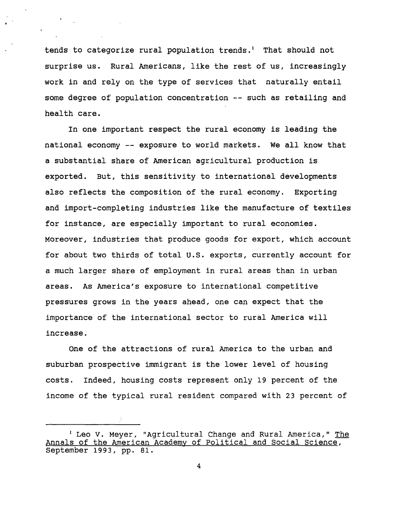**tends to categorize rural population trends.<sup>1</sup> That should not surprise us. Rural Americans, like the rest of us, increasingly work in and rely on the type of services that naturally entail some degree of population concentration — such as retailing and health care.**

**In one important respect the rural economy is leading the national economy — exposure to world markets. We all know that a substantial share of American agricultural production is exported. But, this sensitivity to international developments also reflects the composition of the rural economy. Exporting and import-completing industries like the manufacture of textiles for instance, are especially important to rural economies. Moreover, industries that produce goods for export, which account for about two thirds of total U.S. exports, currently account for a much larger share of employment in rural areas than in urban areas. As America's exposure to international competitive pressures grows in the years ahead, one can expect that the importance of the international sector to rural America will increase.**

**One of the attractions of rural America to the urban and suburban prospective immigrant is the lower level of housing costs. Indeed, housing costs represent only 19 percent of the income of the typical rural resident compared with 2 3 percent of**

**<sup>1</sup> Leo V. Meyer, "Agricultural Change and Rural America," The Annals of the American Academy of Political and Social Science. September 199 3, pp. 81.**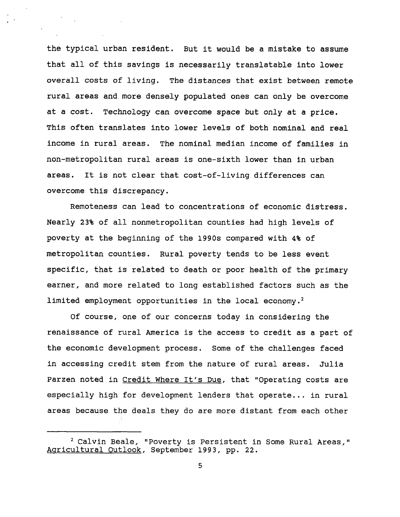**the typical urban resident. But it would be a mistake to assume that all of this savings is necessarily translatable into lower overall costs of living. The distances that exist between remote rural areas and more densely populated ones can only be overcome at a cost. Technology can overcome space but only at a price. This often translates into lower levels of both nominal and real income in rural areas. The nominal median income of families in non-metropolitan rural areas is one-sixth lower than in urban areas. It is not clear that cost-of-living differences can overcome this discrepancy.**

**Remoteness can lead to concentrations of economic distress. Nearly 2 3% of all nonmetropolitan counties had high levels of poverty at the beginning of the 1990s compared with 4% of metropolitan counties. Rural poverty tends to be less event specific, that is related to death or poor health of the primary earner, and more related to long established factors such as the limited employment opportunities in the local economy.<sup>2</sup>**

**Of course, one of our concerns today in considering the renaissance of rural America is the access to credit as a part of the economic development process. Some of the challenges faced in accessing credit stem from the nature of rural areas. Julia Parzen noted in Credit Where It's Due, that "Operating costs are especially high for development lenders that operate... in rural areas because the deals they do are more distant from each other**

**<sup>2</sup> Calvin Beale, "Poverty is Persistent in Some Rural Areas," Agricultural Outlook, September 199 3, pp. 22.**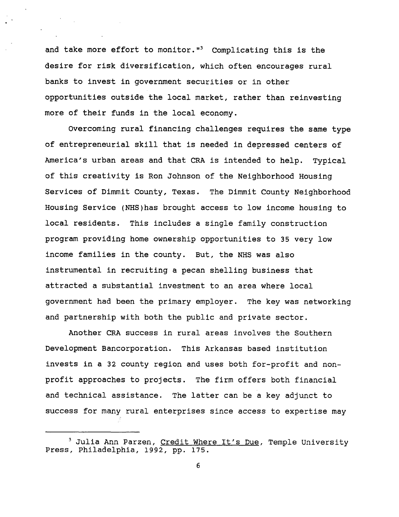**and take more effort to monitor."<sup>3</sup> Complicating this is the desire for risk diversification, which often encourages rural banks to invest in government securities or in other opportunities outside the local market, rather than reinvesting more of their funds in the local economy.**

**Overcoming rural financing challenges requires the same type of entrepreneurial skill that is needed in depressed centers of America's urban areas and that CRA is intended to help. Typical of this creativity is Ron Johnson of the Neighborhood Housing Services of Dimmit County, Texas. The Dimmit County Neighborhood Housing Service (NHS)has brought access to low income housing to local residents. This includes a single family construction program providing home ownership opportunities to 3 5 very low income families in the county. But, the NHS was also instrumental in recruiting a pecan shelling business that attracted a substantial investment to an area where local government had been the primary employer. The key was networking and partnership with both the public and private sector.**

**Another CRA success in rural areas involves the Southern Development Bancorporation. This Arkansas based institution invests in a 32 county region and uses both for-profit and nonprofit approaches to projects. The firm offers both financial and technical assistance. The latter can be a key adjunct to success for many rural enterprises since access to expertise may**

**<sup>3</sup> Julia Ann Parzen, Credit Where It's Due. Temple University Press, Philadelphia, 1992, pp. 175.**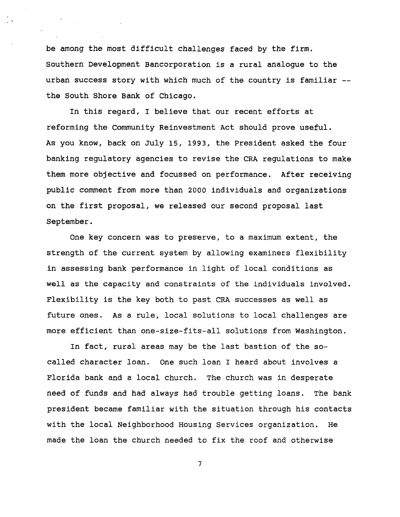**be among the most difficult challenges faced by the firm. Southern Development Bancorporation is a rural analogue to the urban success story with which much of the country is familiar the South Shore Bank of Chicago.**

**In this regard, I believe that our recent efforts at reforming the Community Reinvestment Act should prove useful. As you know, back on July 15, 199 3, the President asked the four banking regulatory agencies to revise the CRA regulations to make them more objective and focussed on performance. After receiving public comment from more than 2000 individuals and organizations on the first proposal, we released our second proposal last September.**

**One key concern was to preserve, to a maximum extent, the strength of the current system by allowing examiners flexibility in assessing bank performance in light of local conditions as well as the capacity and constraints of the individuals involved. Flexibility is the key both to past CRA successes as well as future ones. As a rule, local solutions to local challenges are more efficient than one-size-fits-all solutions from Washington.**

**In fact, rural areas may be the last bastion of the socalled character loan. One such loan I heard about involves a Florida bank and a local church. The church was in desperate need of funds and had always had trouble getting loans. The bank president became familiar with the situation through his contacts with the local Neighborhood Housing Services organization. He made the loan the church needed to fix the roof and otherwise**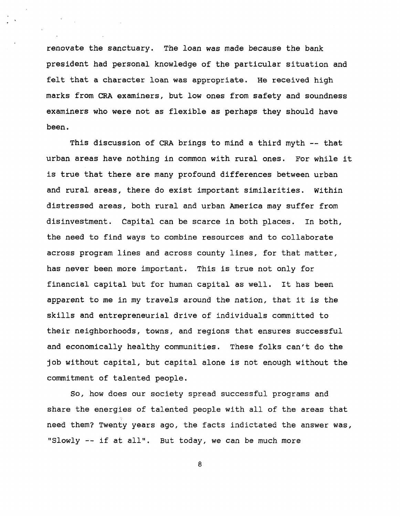**renovate the sanctuary. The loan was made because the bank president had personal knowledge of the particular situation and felt that a character loan was appropriate. He received high marks from CRA examiners, but low ones from safety and soundness examiners who were not as flexible as perhaps they should have been.**

**This discussion of CRA brings to mind a third myth — that urban areas have nothing in common with rural ones. For while it is true that there are many profound differences between urban and rural areas, there do exist important similarities. Within distressed areas, both rural and urban America may suffer from disinvestment. Capital can be scarce in both places. In both, the need to find ways to combine resources and to collaborate across program lines and across county lines, for that matter, has never been more important. This is true not only for financial capital but for human capital as well. It has been apparent to me in my travels around the nation, that it is the skills and entrepreneurial drive of individuals committed to their neighborhoods, towns, and regions that ensures successful and economically healthy communities. These folks can't do the job without capital, but capital alone is not enough without the commitment of talented people.**

**So, how does our society spread successful programs and share the energies of talented people with all of the areas that need them? Twenty years ago, the facts indictated the answer was, "Slowly -- if at all". But today, we can be much more**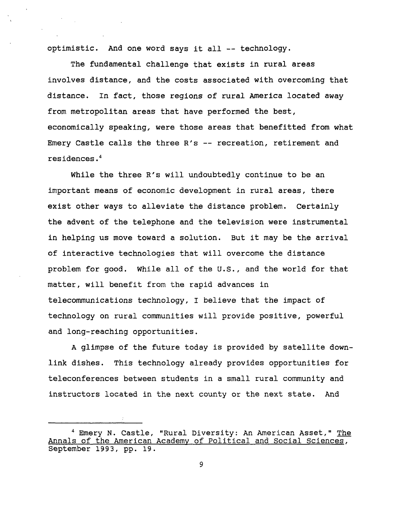**optimistic. And one word says it all — technology.**

**The fundamental challenge that exists in rural areas involves distance, and the costs associated with overcoming that distance. In fact, those regions of rural America located away from metropolitan areas that have performed the best, economically speaking, were those areas that benefitted from what Emery Castle calls the three R's — recreation, retirement and residences.<sup>4</sup>**

**While the three R's will undoubtedly continue to be an important means of economic development in rural areas, there exist other ways to alleviate the distance problem. Certainly the advent of the telephone and the television were instrumental in helping us move toward a solution. But it may be the arrival of interactive technologies that will overcome the distance problem for good, while all of the U.S., and the world for that matter, will benefit from the rapid advances in telecommunications technology, I believe that the impact of technology on rural communities will provide positive, powerful and long-reaching opportunities.**

**A glimpse of the future today is provided by satellite downlink dishes. This technology already provides opportunities for teleconferences between students in a small rural community and instructors located in the next county or the next state. And**

**<sup>4</sup> Emery N. Castle, "Rural Diversity: An American Asset," The Annals of the American Academy of Political and Social Sciences, September 199 3, pp. 19.**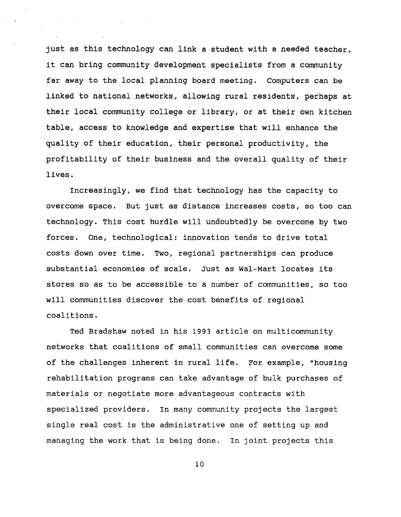**just as this technology can link a student with a needed teacher, it can bring community development specialists from a community far away to the local planning board meeting. Computers can be linked to national networks, allowing rural residents, perhaps at their local community college or library, or at their own kitchen table, access to knowledge and expertise that will enhance the quality of their education, their personal productivity, the profitability of their business and the overall quality of their lives.**

**Increasingly, we find that technology has the capacity to overcome space. But just as distance increases costs, so too can technology. This cost hurdle will undoubtedly be overcome by two forces. One, technological: innovation tends to drive total costs down over time. Two, regional partnerships can produce substantial economies of scale. Just as Wal-Mart locates its stores so as to be accessible to a number of communities, so too will communities discover the cost benefits of regional coalitions.**

**Ted Bradshaw noted in his 199 3 article on multicommunity networks that coalitions of small communities can overcome some of the challenges inherent in rural life. For example, "housing rehabilitation programs can take advantage of bulk purchases of materials or negotiate more advantageous contracts with specialized providers. In many community projects the largest single real cost is the administrative one of setting up and managing the work that is being done. In joint projects this**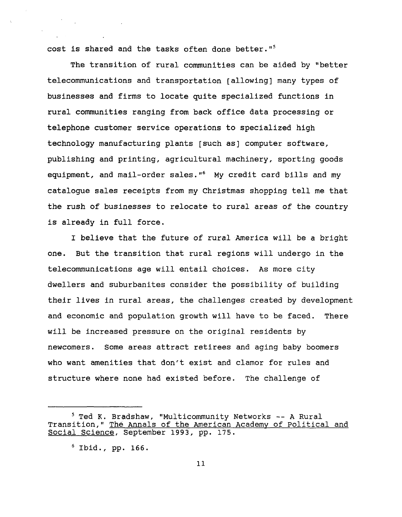**cost is shared and the tasks often done better."<sup>5</sup>**

**The transition of rural communities can be aided by "better telecommunications and transportation [allowing] many types of businesses and firms to locate quite specialized functions in rural communities ranging from back office data processing or telephone customer service operations to specialized high technology manufacturing plants [such as] computer software, publishing and printing, agricultural machinery, sporting goods equipment, and mail-order sales."<sup>6</sup> My credit card bills and my catalogue sales receipts from my Christmas shopping tell me that the rush of businesses to relocate to rural areas of the country is already in full force.**

**I believe that the future of rural America will be a bright one. But the transition that rural regions will undergo in the telecommunications age will entail choices. As more city dwellers and suburbanites consider the possibility of building their lives in rural areas, the challenges created by development and economic and population growth will have to be faced. There will be increased pressure on the original residents by newcomers. Some areas attract retirees and aging baby boomers who want amenities that don't exist and clamor for rules and structure where none had existed before. The challenge of**

**<sup>5</sup> Ted K. Bradshaw, "Multicommunity Networks -- A Rural Transition,"** The Annals of the American Academy of Political and **Social Science, September 199 3, pp. 17 5.**

**<sup>6</sup> Ibid., pp. 166.**